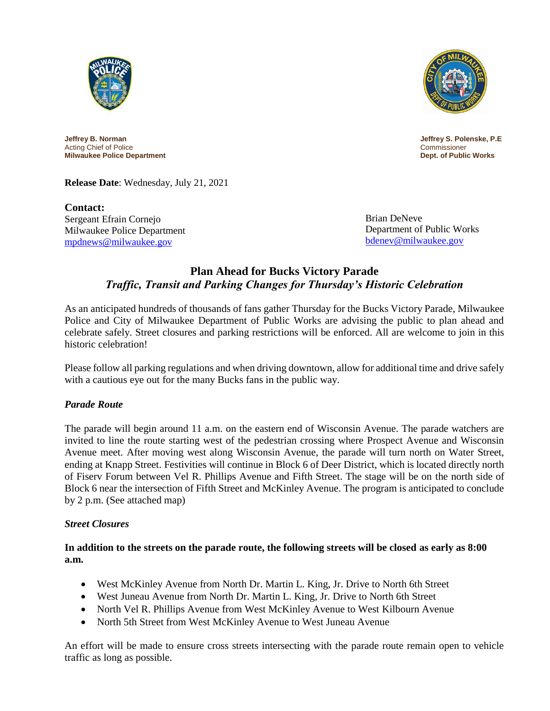



**Jeffrey B. Norman Jeffrey S. Polenske, P.E**<br>Acting Chief of Police **Product Acting Chief of Police** Acting Chief of Police **Product Acting Chief of Police** Acting Commissioner Acting Chief of Police **Milwaukee Police Department Dept. of Public Works**

**Release Date**: Wednesday, July 21, 2021

**Contact:** Sergeant Efrain Cornejo Milwaukee Police Department [mpdnews@milwaukee.gov](mailto:mpdnews@milwaukee.gov)

Brian DeNeve Department of Public Works [bdenev@milwaukee.gov](mailto:bdenev@milwaukee.gov)

# **Plan Ahead for Bucks Victory Parade** *Traffic, Transit and Parking Changes for Thursday's Historic Celebration*

As an anticipated hundreds of thousands of fans gather Thursday for the Bucks Victory Parade, Milwaukee Police and City of Milwaukee Department of Public Works are advising the public to plan ahead and celebrate safely. Street closures and parking restrictions will be enforced. All are welcome to join in this historic celebration!

Please follow all parking regulations and when driving downtown, allow for additional time and drive safely with a cautious eye out for the many Bucks fans in the public way.

## *Parade Route*

The parade will begin around 11 a.m. on the eastern end of Wisconsin Avenue. The parade watchers are invited to line the route starting west of the pedestrian crossing where Prospect Avenue and Wisconsin Avenue meet. After moving west along Wisconsin Avenue, the parade will turn north on Water Street, ending at Knapp Street. Festivities will continue in Block 6 of Deer District, which is located directly north of Fiserv Forum between Vel R. Phillips Avenue and Fifth Street. The stage will be on the north side of Block 6 near the intersection of Fifth Street and McKinley Avenue. The program is anticipated to conclude by 2 p.m. (See attached map)

## *Street Closures*

**In addition to the streets on the parade route, the following streets will be closed as early as 8:00 a.m.**

- West McKinley Avenue from North Dr. Martin L. King, Jr. Drive to North 6th Street
- West Juneau Avenue from North Dr. Martin L. King, Jr. Drive to North 6th Street
- North Vel R. Phillips Avenue from West McKinley Avenue to West Kilbourn Avenue
- North 5th Street from West McKinley Avenue to West Juneau Avenue

An effort will be made to ensure cross streets intersecting with the parade route remain open to vehicle traffic as long as possible.